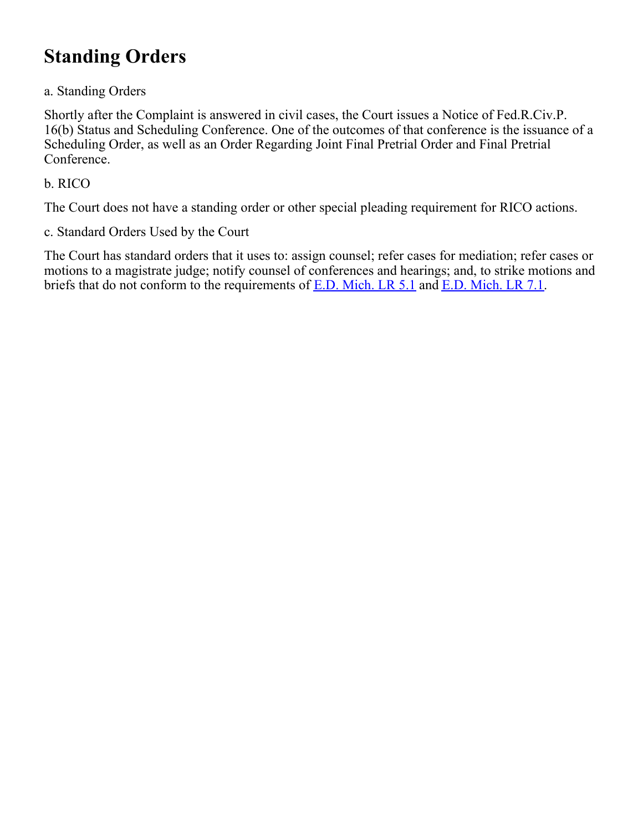# **Standing Orders**

### a. Standing Orders

Shortly after the Complaint is answered in civil cases, the Court issues a Notice of Fed.R.Civ.P. 16(b) Status and Scheduling Conference. One of the outcomes of that conference is the issuance of a Scheduling Order, as well as an Order Regarding Joint Final Pretrial Order and Final Pretrial Conference.

### b. RICO

The Court does not have a standing order or other special pleading requirement for RICO actions.

c. Standard Orders Used by the Court

The Court has standard orders that it uses to: assign counsel; refer cases for mediation; refer cases or motions to a magistrate judge; notify counsel of conferences and hearings; and, to strike motions and briefs that do not conform to the requirements of [E.D. Mich. LR 5.1](https://www.mied.uscourts.gov/altindex.cfm?pagefunction=localRuleView&lrnumber=lr5.1) and [E.D. Mich. LR 7.1](https://www.mied.uscourts.gov/altindex.cfm?pagefunction=localRuleView&lrnumber=lr7.1).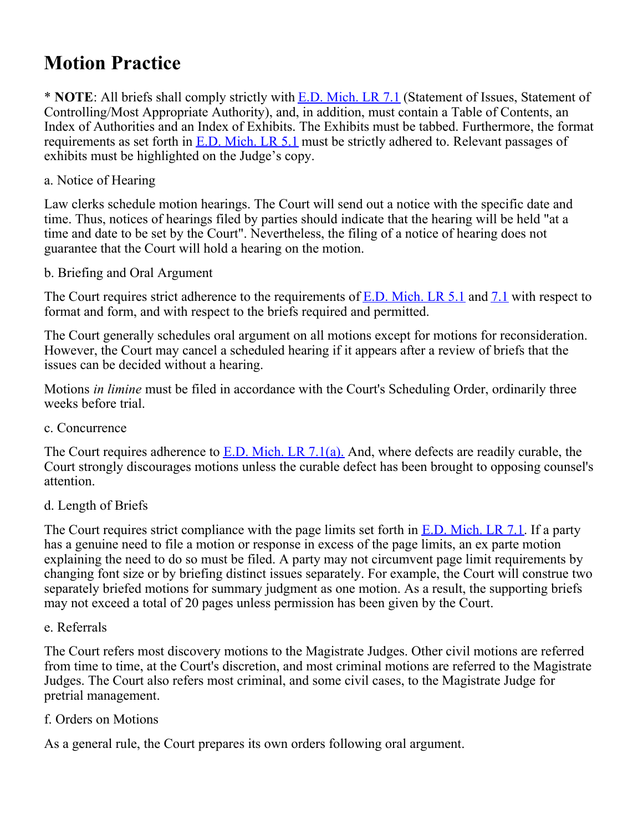## **Motion Practice**

\* **NOTE**: All briefs shall comply strictly with [E.D. Mich. LR 7.1](https://www.mied.uscourts.gov/altindex.cfm?pagefunction=localRuleView&lrnumber=lr7.1) (Statement of Issues, Statement of Controlling/Most Appropriate Authority), and, in addition, must contain a Table of Contents, an Index of Authorities and an Index of Exhibits. The Exhibits must be tabbed. Furthermore, the format requirements as set forth in [E.D. Mich. LR 5.1](https://www.mied.uscourts.gov/altindex.cfm?pagefunction=localRuleView&lrnumber=lr5.1) must be strictly adhered to. Relevant passages of exhibits must be highlighted on the Judge's copy.

### a. Notice of Hearing

Law clerks schedule motion hearings. The Court will send out a notice with the specific date and time. Thus, notices of hearings filed by parties should indicate that the hearing will be held "at a time and date to be set by the Court". Nevertheless, the filing of a notice of hearing does not guarantee that the Court will hold a hearing on the motion.

### b. Briefing and Oral Argument

The Court requires strict adherence to the requirements of [E.D. Mich. LR 5.1](https://www.mied.uscourts.gov/altindex.cfm?pagefunction=localRuleView&lrnumber=lr5.1) and [7.1](https://www.mied.uscourts.gov/altindex.cfm?pagefunction=localRuleView&lrnumber=lr7.1) with respect to format and form, and with respect to the briefs required and permitted.

The Court generally schedules oral argument on all motions except for motions for reconsideration. However, the Court may cancel a scheduled hearing if it appears after a review of briefs that the issues can be decided without a hearing.

Motions *in limine* must be filed in accordance with the Court's Scheduling Order, ordinarily three weeks before trial.

c. Concurrence

The Court requires adherence to **E.D.** Mich. LR 7.1(a). And, where defects are readily curable, the Court strongly discourages motions unless the curable defect has been brought to opposing counsel's attention.

### d. Length of Briefs

The Court requires strict compliance with the page limits set forth in  $E.D.$  Mich. LR 7.1. If a party has a genuine need to file a motion or response in excess of the page limits, an ex parte motion explaining the need to do so must be filed. A party may not circumvent page limit requirements by changing font size or by briefing distinct issues separately. For example, the Court will construe two separately briefed motions for summary judgment as one motion. As a result, the supporting briefs may not exceed a total of 20 pages unless permission has been given by the Court.

### e. Referrals

The Court refers most discovery motions to the Magistrate Judges. Other civil motions are referred from time to time, at the Court's discretion, and most criminal motions are referred to the Magistrate Judges. The Court also refers most criminal, and some civil cases, to the Magistrate Judge for pretrial management.

### f. Orders on Motions

As a general rule, the Court prepares its own orders following oral argument.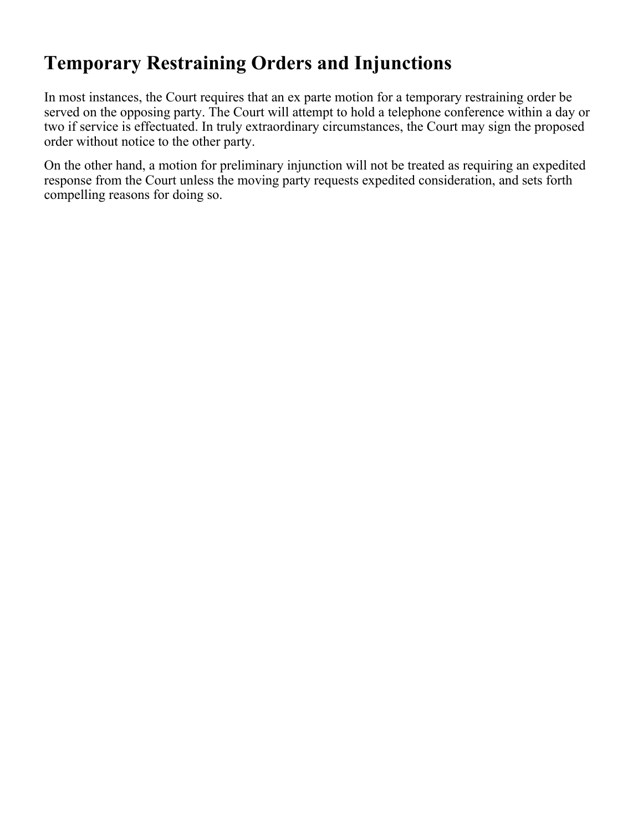# **Temporary Restraining Orders and Injunctions**

In most instances, the Court requires that an ex parte motion for a temporary restraining order be served on the opposing party. The Court will attempt to hold a telephone conference within a day or two if service is effectuated. In truly extraordinary circumstances, the Court may sign the proposed order without notice to the other party.

On the other hand, a motion for preliminary injunction will not be treated as requiring an expedited response from the Court unless the moving party requests expedited consideration, and sets forth compelling reasons for doing so.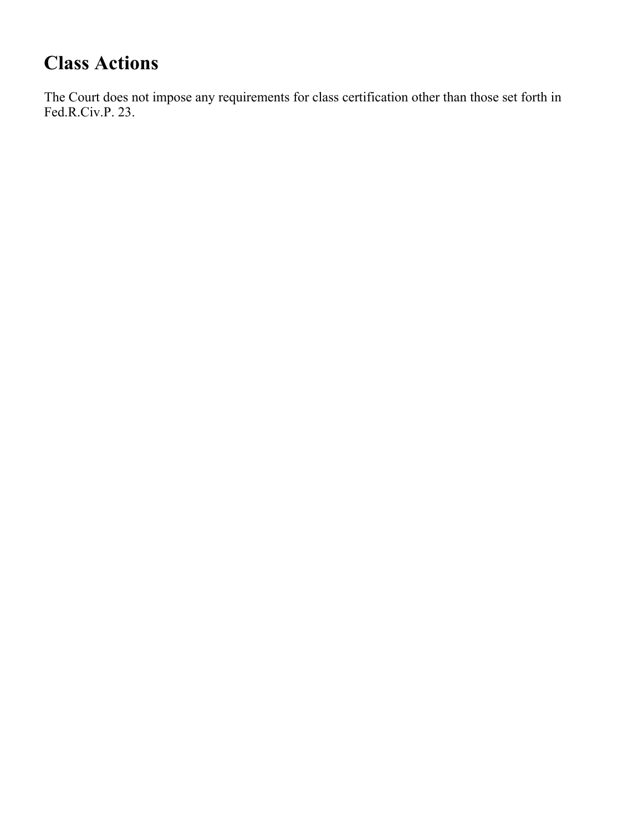# **Class Actions**

The Court does not impose any requirements for class certification other than those set forth in Fed.R.Civ.P. 23.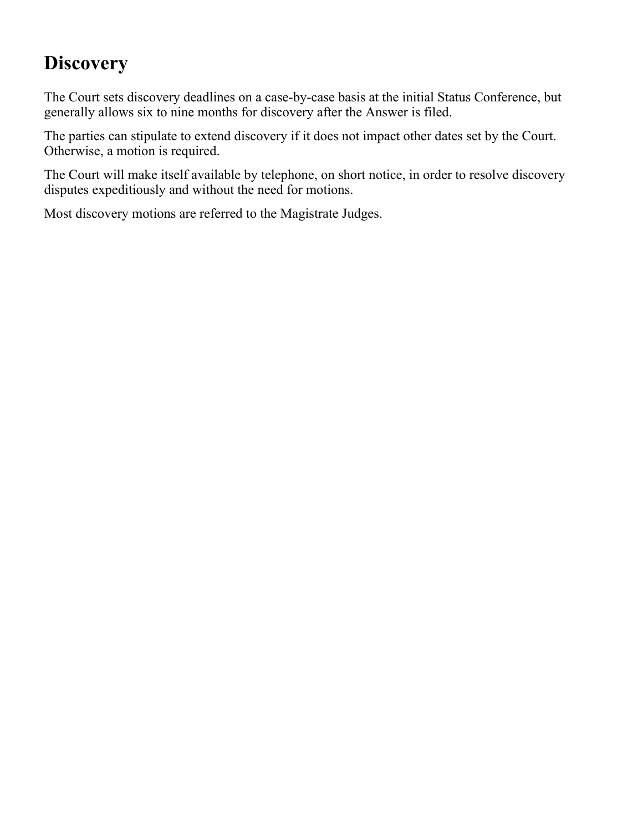# **Discovery**

The Court sets discovery deadlines on a case-by-case basis at the initial Status Conference, but generally allows six to nine months for discovery after the Answer is filed.

The parties can stipulate to extend discovery if it does not impact other dates set by the Court. Otherwise, a motion is required.

The Court will make itself available by telephone, on short notice, in order to resolve discovery disputes expeditiously and without the need for motions.

Most discovery motions are referred to the Magistrate Judges.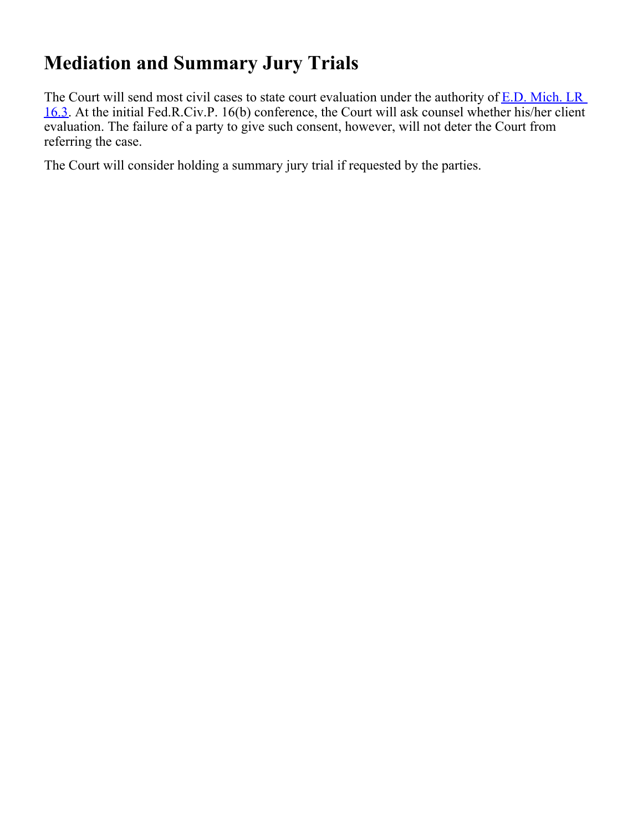# **Mediation and Summary Jury Trials**

The Court will send most civil cases to state court evaluation under the authority of [E.D. Mich. LR](https://www.mied.uscourts.gov/altindex.cfm?pagefunction=localRuleView&lrnumber=lr16.3) [16.3](https://www.mied.uscourts.gov/altindex.cfm?pagefunction=localRuleView&lrnumber=lr16.3). At the initial Fed.R.Civ.P. 16(b) conference, the Court will ask counsel whether his/her client evaluation. The failure of a party to give such consent, however, will not deter the Court from referring the case.

The Court will consider holding a summary jury trial if requested by the parties.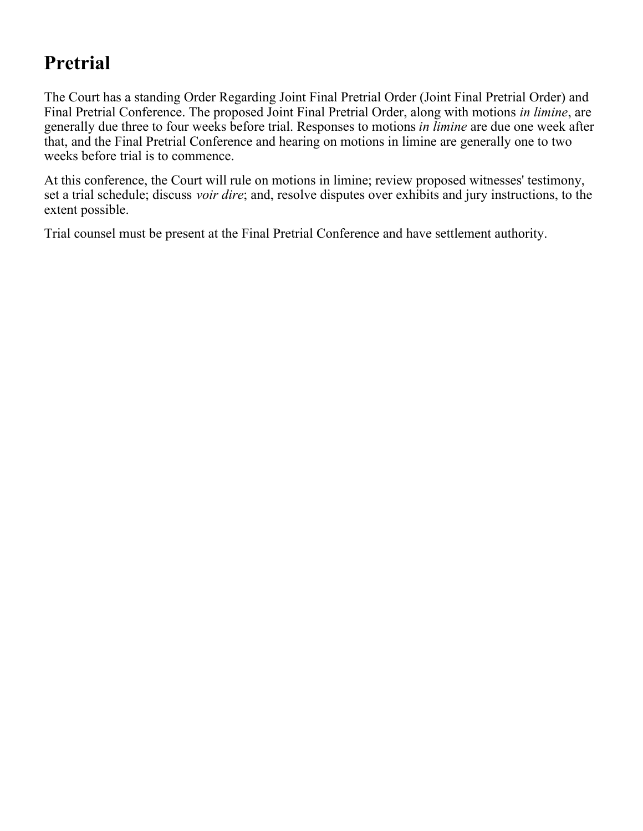### **Pretrial**

The Court has a standing Order Regarding Joint Final Pretrial Order (Joint Final Pretrial Order) and Final Pretrial Conference. The proposed Joint Final Pretrial Order, along with motions *in limine*, are generally due three to four weeks before trial. Responses to motions *in limine* are due one week after that, and the Final Pretrial Conference and hearing on motions in limine are generally one to two weeks before trial is to commence.

At this conference, the Court will rule on motions in limine; review proposed witnesses' testimony, set a trial schedule; discuss *voir dire*; and, resolve disputes over exhibits and jury instructions, to the extent possible.

Trial counsel must be present at the Final Pretrial Conference and have settlement authority.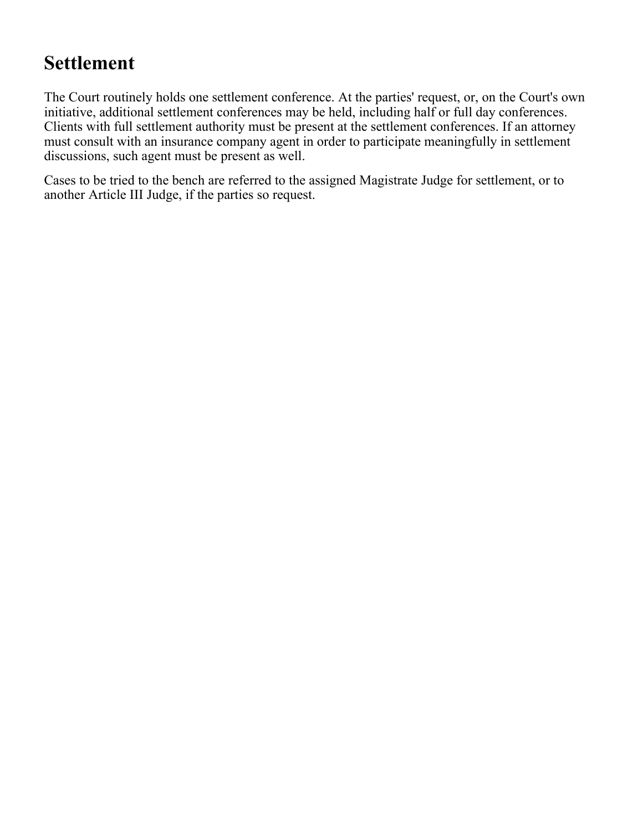### **Settlement**

The Court routinely holds one settlement conference. At the parties' request, or, on the Court's own initiative, additional settlement conferences may be held, including half or full day conferences. Clients with full settlement authority must be present at the settlement conferences. If an attorney must consult with an insurance company agent in order to participate meaningfully in settlement discussions, such agent must be present as well.

Cases to be tried to the bench are referred to the assigned Magistrate Judge for settlement, or to another Article III Judge, if the parties so request.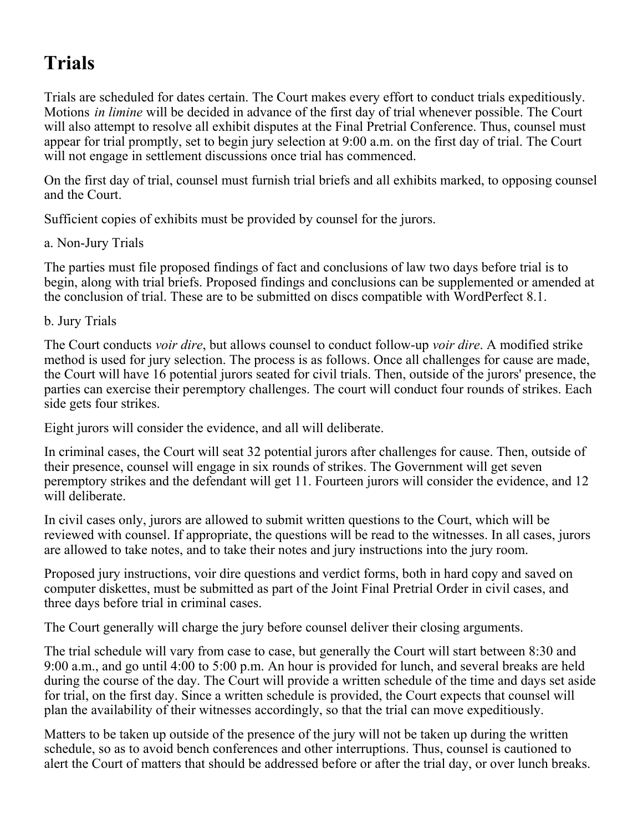# **Trials**

Trials are scheduled for dates certain. The Court makes every effort to conduct trials expeditiously. Motions *in limine* will be decided in advance of the first day of trial whenever possible. The Court will also attempt to resolve all exhibit disputes at the Final Pretrial Conference. Thus, counsel must appear for trial promptly, set to begin jury selection at 9:00 a.m. on the first day of trial. The Court will not engage in settlement discussions once trial has commenced.

On the first day of trial, counsel must furnish trial briefs and all exhibits marked, to opposing counsel and the Court.

Sufficient copies of exhibits must be provided by counsel for the jurors.

### a. Non-Jury Trials

The parties must file proposed findings of fact and conclusions of law two days before trial is to begin, along with trial briefs. Proposed findings and conclusions can be supplemented or amended at the conclusion of trial. These are to be submitted on discs compatible with WordPerfect 8.1.

b. Jury Trials

The Court conducts *voir dire*, but allows counsel to conduct follow-up *voir dire*. A modified strike method is used for jury selection. The process is as follows. Once all challenges for cause are made, the Court will have 16 potential jurors seated for civil trials. Then, outside of the jurors' presence, the parties can exercise their peremptory challenges. The court will conduct four rounds of strikes. Each side gets four strikes.

Eight jurors will consider the evidence, and all will deliberate.

In criminal cases, the Court will seat 32 potential jurors after challenges for cause. Then, outside of their presence, counsel will engage in six rounds of strikes. The Government will get seven peremptory strikes and the defendant will get 11. Fourteen jurors will consider the evidence, and 12 will deliberate.

In civil cases only, jurors are allowed to submit written questions to the Court, which will be reviewed with counsel. If appropriate, the questions will be read to the witnesses. In all cases, jurors are allowed to take notes, and to take their notes and jury instructions into the jury room.

Proposed jury instructions, voir dire questions and verdict forms, both in hard copy and saved on computer diskettes, must be submitted as part of the Joint Final Pretrial Order in civil cases, and three days before trial in criminal cases.

The Court generally will charge the jury before counsel deliver their closing arguments.

The trial schedule will vary from case to case, but generally the Court will start between 8:30 and 9:00 a.m., and go until 4:00 to 5:00 p.m. An hour is provided for lunch, and several breaks are held during the course of the day. The Court will provide a written schedule of the time and days set aside for trial, on the first day. Since a written schedule is provided, the Court expects that counsel will plan the availability of their witnesses accordingly, so that the trial can move expeditiously.

Matters to be taken up outside of the presence of the jury will not be taken up during the written schedule, so as to avoid bench conferences and other interruptions. Thus, counsel is cautioned to alert the Court of matters that should be addressed before or after the trial day, or over lunch breaks.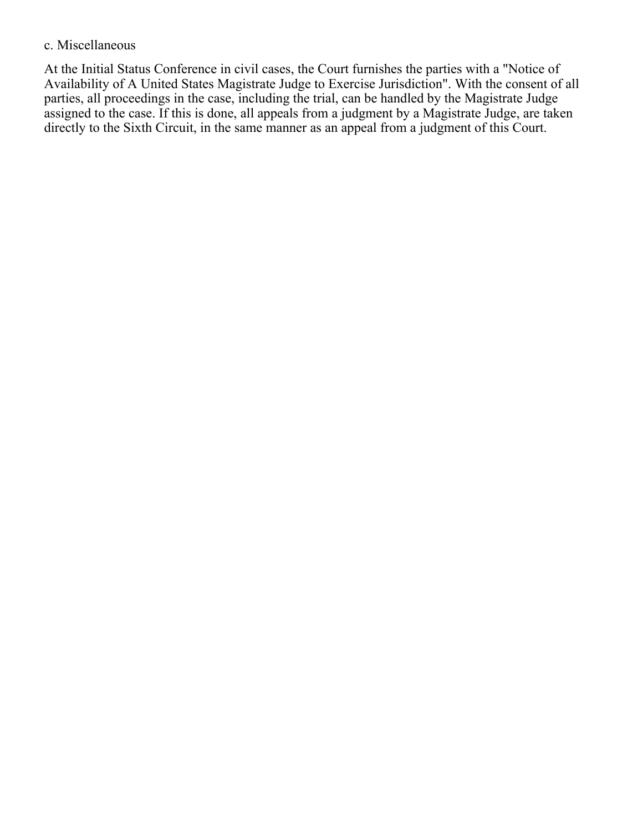### c. Miscellaneous

At the Initial Status Conference in civil cases, the Court furnishes the parties with a "Notice of Availability of A United States Magistrate Judge to Exercise Jurisdiction". With the consent of all parties, all proceedings in the case, including the trial, can be handled by the Magistrate Judge assigned to the case. If this is done, all appeals from a judgment by a Magistrate Judge, are taken directly to the Sixth Circuit, in the same manner as an appeal from a judgment of this Court.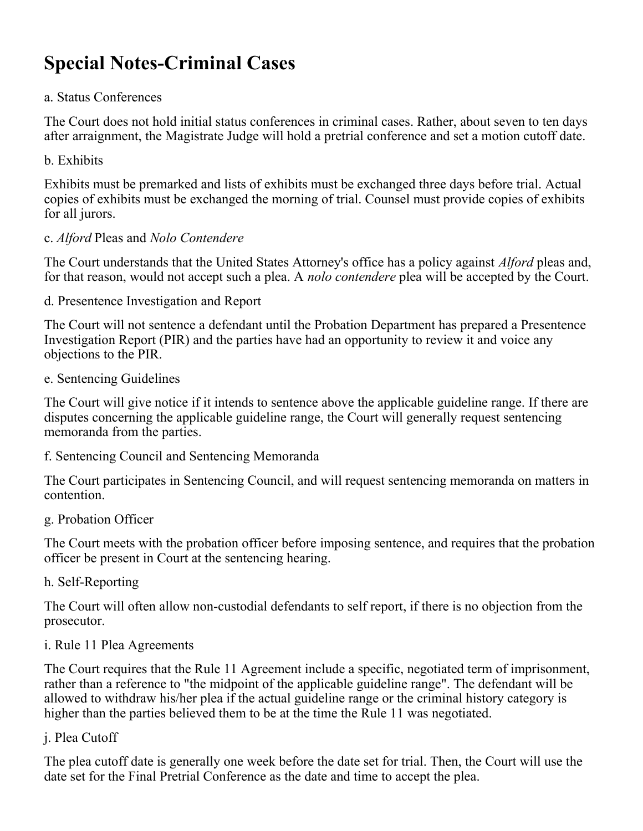# **Special Notes-Criminal Cases**

### a. Status Conferences

The Court does not hold initial status conferences in criminal cases. Rather, about seven to ten days after arraignment, the Magistrate Judge will hold a pretrial conference and set a motion cutoff date.

b. Exhibits

Exhibits must be premarked and lists of exhibits must be exchanged three days before trial. Actual copies of exhibits must be exchanged the morning of trial. Counsel must provide copies of exhibits for all jurors.

### c. *Alford* Pleas and *Nolo Contendere*

The Court understands that the United States Attorney's office has a policy against *Alford* pleas and, for that reason, would not accept such a plea. A *nolo contendere* plea will be accepted by the Court.

d. Presentence Investigation and Report

The Court will not sentence a defendant until the Probation Department has prepared a Presentence Investigation Report (PIR) and the parties have had an opportunity to review it and voice any objections to the PIR.

e. Sentencing Guidelines

The Court will give notice if it intends to sentence above the applicable guideline range. If there are disputes concerning the applicable guideline range, the Court will generally request sentencing memoranda from the parties.

f. Sentencing Council and Sentencing Memoranda

The Court participates in Sentencing Council, and will request sentencing memoranda on matters in contention.

g. Probation Officer

The Court meets with the probation officer before imposing sentence, and requires that the probation officer be present in Court at the sentencing hearing.

h. Self-Reporting

The Court will often allow non-custodial defendants to self report, if there is no objection from the prosecutor.

i. Rule 11 Plea Agreements

The Court requires that the Rule 11 Agreement include a specific, negotiated term of imprisonment, rather than a reference to "the midpoint of the applicable guideline range". The defendant will be allowed to withdraw his/her plea if the actual guideline range or the criminal history category is higher than the parties believed them to be at the time the Rule 11 was negotiated.

j. Plea Cutoff

The plea cutoff date is generally one week before the date set for trial. Then, the Court will use the date set for the Final Pretrial Conference as the date and time to accept the plea.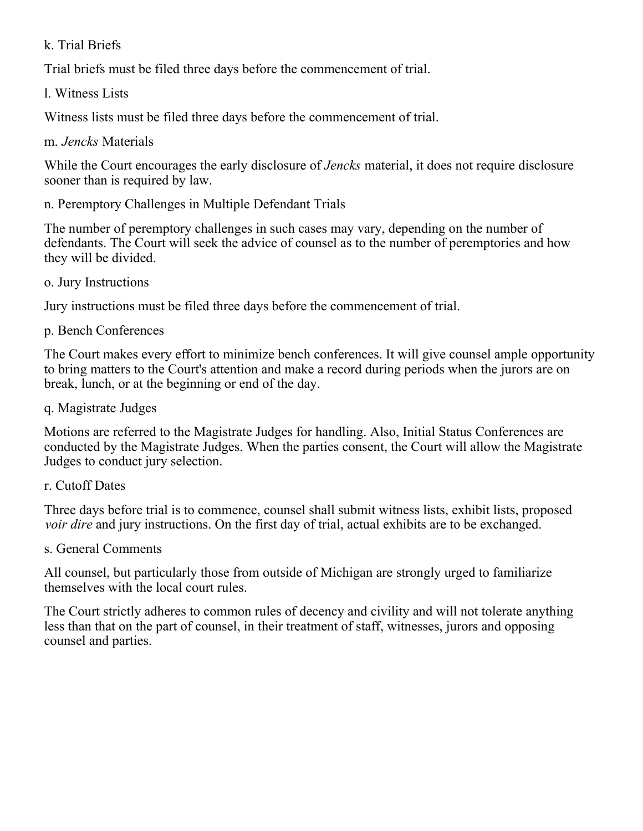### k. Trial Briefs

Trial briefs must be filed three days before the commencement of trial.

l. Witness Lists

Witness lists must be filed three days before the commencement of trial.

m. *Jencks* Materials

While the Court encourages the early disclosure of *Jencks* material, it does not require disclosure sooner than is required by law.

n. Peremptory Challenges in Multiple Defendant Trials

The number of peremptory challenges in such cases may vary, depending on the number of defendants. The Court will seek the advice of counsel as to the number of peremptories and how they will be divided.

o. Jury Instructions

Jury instructions must be filed three days before the commencement of trial.

p. Bench Conferences

The Court makes every effort to minimize bench conferences. It will give counsel ample opportunity to bring matters to the Court's attention and make a record during periods when the jurors are on break, lunch, or at the beginning or end of the day.

q. Magistrate Judges

Motions are referred to the Magistrate Judges for handling. Also, Initial Status Conferences are conducted by the Magistrate Judges. When the parties consent, the Court will allow the Magistrate Judges to conduct jury selection.

r. Cutoff Dates

Three days before trial is to commence, counsel shall submit witness lists, exhibit lists, proposed *voir dire* and jury instructions. On the first day of trial, actual exhibits are to be exchanged.

s. General Comments

All counsel, but particularly those from outside of Michigan are strongly urged to familiarize themselves with the local court rules.

The Court strictly adheres to common rules of decency and civility and will not tolerate anything less than that on the part of counsel, in their treatment of staff, witnesses, jurors and opposing counsel and parties.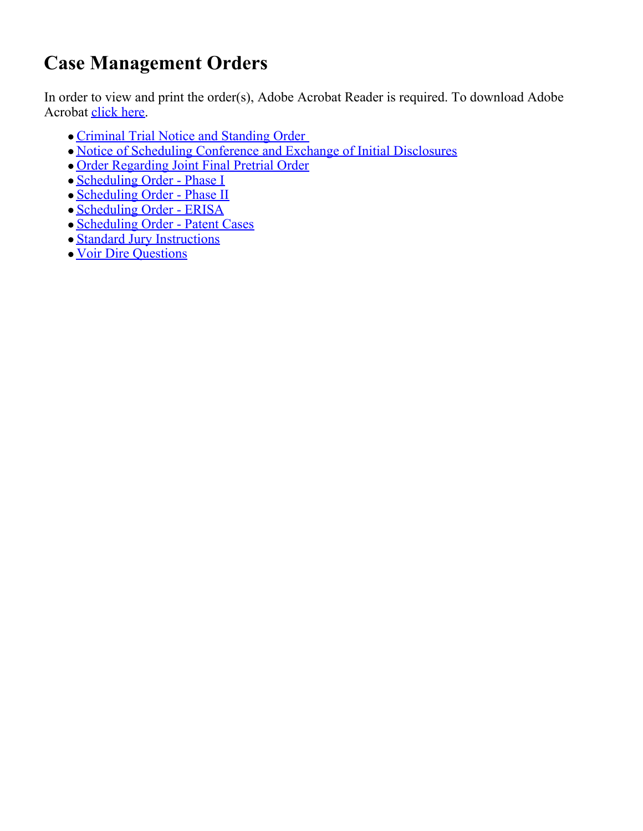# **Case Management Orders**

In order to view and print the order(s), Adobe Acrobat Reader is required. To download Adobe Acrobat [click here](  http://www.adobe.com/products/acrobat/readstep.html).

- Criminal Trial Notice and Standing Order
- [Notice of Scheduling Conference and Exchange of Initial Disclosures](https://www.mied.uscourts.gov/pdffiles/RobertsNtcSchedConf.pdf)
- [Order Regarding Joint Final Pretrial Order](https://www.mied.uscourts.gov/pdffiles/RobertsJointFinalPretrialOrder.pdf)
- [Scheduling Order Phase I](https://www.mied.uscourts.gov/pdffiles/RobertsSched_Order_I.pdf)
- [Scheduling Order Phase II](https://www.mied.uscourts.gov/pdffiles/RobertsSched_Order_II.pdf)
- [Scheduling Order ERISA](https://www.mied.uscourts.gov/pdffiles/RobertsSchedOrderERISA.pdf)
- [Scheduling Order Patent Cases](https://www.mied.uscourts.gov/pdffiles/RobertsSchedOrderPatent.pdf)
- [Standard Jury Instructions](https://www.mied.uscourts.gov/pdffiles/RobertsStdJuryInstr.pdf)
- [Voir Dire Questions](https://www.mied.uscourts.gov/pdffiles/RobertsVoirDireQuestions.pdf)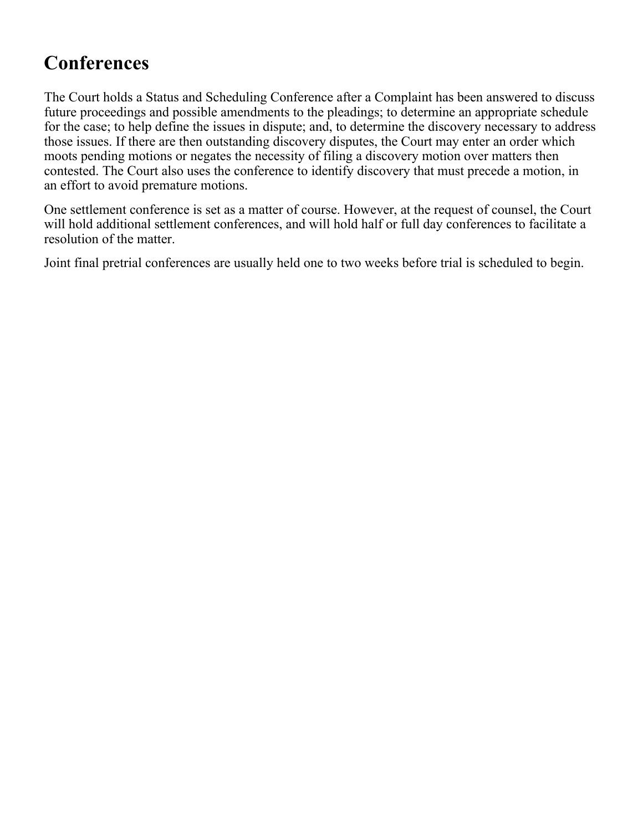# **Conferences**

The Court holds a Status and Scheduling Conference after a Complaint has been answered to discuss future proceedings and possible amendments to the pleadings; to determine an appropriate schedule for the case; to help define the issues in dispute; and, to determine the discovery necessary to address those issues. If there are then outstanding discovery disputes, the Court may enter an order which moots pending motions or negates the necessity of filing a discovery motion over matters then contested. The Court also uses the conference to identify discovery that must precede a motion, in an effort to avoid premature motions.

One settlement conference is set as a matter of course. However, at the request of counsel, the Court will hold additional settlement conferences, and will hold half or full day conferences to facilitate a resolution of the matter.

Joint final pretrial conferences are usually held one to two weeks before trial is scheduled to begin.